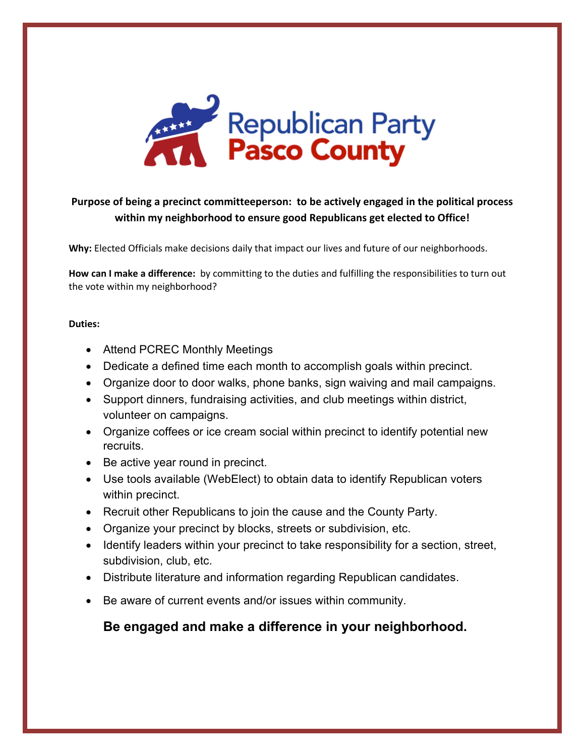

#### **Purpose of being a precinct committeeperson: to be actively engaged in the political process within my neighborhood to ensure good Republicans get elected to Office!**

**Why:** Elected Officials make decisions daily that impact our lives and future of our neighborhoods.

**How can I make a difference:** by committing to the duties and fulfilling the responsibilities to turn out the vote within my neighborhood?

#### **Duties:**

- Attend PCREC Monthly Meetings
- Dedicate a defined time each month to accomplish goals within precinct.
- Organize door to door walks, phone banks, sign waiving and mail campaigns.
- Support dinners, fundraising activities, and club meetings within district, volunteer on campaigns.
- Organize coffees or ice cream social within precinct to identify potential new recruits.
- Be active year round in precinct.
- Use tools available (WebElect) to obtain data to identify Republican voters within precinct.
- Recruit other Republicans to join the cause and the County Party.
- Organize your precinct by blocks, streets or subdivision, etc.
- Identify leaders within your precinct to take responsibility for a section, street, subdivision, club, etc.
- Distribute literature and information regarding Republican candidates.
- Be aware of current events and/or issues within community.

#### **Be engaged and make a difference in your neighborhood.**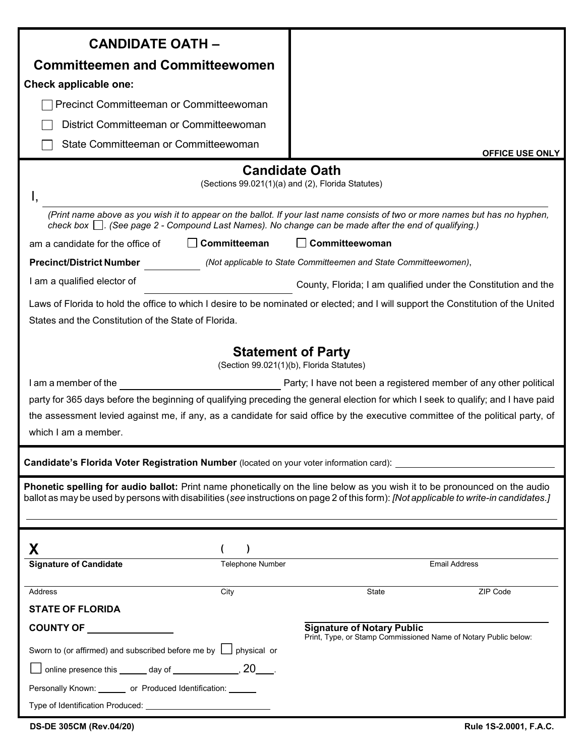| <b>CANDIDATE OATH -</b>                                                                                                                                                                                                                                                                                                                                                                                                                                           |                                                                                                                                    |  |  |  |
|-------------------------------------------------------------------------------------------------------------------------------------------------------------------------------------------------------------------------------------------------------------------------------------------------------------------------------------------------------------------------------------------------------------------------------------------------------------------|------------------------------------------------------------------------------------------------------------------------------------|--|--|--|
| <b>Committeemen and Committeewomen</b>                                                                                                                                                                                                                                                                                                                                                                                                                            |                                                                                                                                    |  |  |  |
| Check applicable one:                                                                                                                                                                                                                                                                                                                                                                                                                                             |                                                                                                                                    |  |  |  |
| Precinct Committeeman or Committeewoman                                                                                                                                                                                                                                                                                                                                                                                                                           |                                                                                                                                    |  |  |  |
| District Committeeman or Committeewoman                                                                                                                                                                                                                                                                                                                                                                                                                           |                                                                                                                                    |  |  |  |
| State Committeeman or Committeewoman                                                                                                                                                                                                                                                                                                                                                                                                                              | <b>OFFICE USE ONLY</b>                                                                                                             |  |  |  |
|                                                                                                                                                                                                                                                                                                                                                                                                                                                                   | <b>Candidate Oath</b>                                                                                                              |  |  |  |
|                                                                                                                                                                                                                                                                                                                                                                                                                                                                   | (Sections 99.021(1)(a) and (2), Florida Statutes)                                                                                  |  |  |  |
|                                                                                                                                                                                                                                                                                                                                                                                                                                                                   |                                                                                                                                    |  |  |  |
| check box $\Box$ . (See page 2 - Compound Last Names). No change can be made after the end of qualifying.)                                                                                                                                                                                                                                                                                                                                                        | (Print name above as you wish it to appear on the ballot. If your last name consists of two or more names but has no hyphen,       |  |  |  |
| Committeeman<br>am a candidate for the office of                                                                                                                                                                                                                                                                                                                                                                                                                  | Committeewoman                                                                                                                     |  |  |  |
| <b>Precinct/District Number</b><br>(Not applicable to State Committeemen and State Committeewomen),                                                                                                                                                                                                                                                                                                                                                               |                                                                                                                                    |  |  |  |
| I am a qualified elector of<br>County, Florida; I am qualified under the Constitution and the                                                                                                                                                                                                                                                                                                                                                                     |                                                                                                                                    |  |  |  |
|                                                                                                                                                                                                                                                                                                                                                                                                                                                                   | Laws of Florida to hold the office to which I desire to be nominated or elected; and I will support the Constitution of the United |  |  |  |
| States and the Constitution of the State of Florida.                                                                                                                                                                                                                                                                                                                                                                                                              |                                                                                                                                    |  |  |  |
| <b>Statement of Party</b><br>(Section 99.021(1)(b), Florida Statutes)<br>Party; I have not been a registered member of any other political<br>I am a member of the<br>party for 365 days before the beginning of qualifying preceding the general election for which I seek to qualify; and I have paid<br>the assessment levied against me, if any, as a candidate for said office by the executive committee of the political party, of<br>which I am a member. |                                                                                                                                    |  |  |  |
| Candidate's Florida Voter Registration Number (located on your voter information card): [169] Candidate's Florida                                                                                                                                                                                                                                                                                                                                                 |                                                                                                                                    |  |  |  |
| Phonetic spelling for audio ballot: Print name phonetically on the line below as you wish it to be pronounced on the audio<br>ballot as may be used by persons with disabilities (see instructions on page 2 of this form): [Not applicable to write-in candidates.]                                                                                                                                                                                              |                                                                                                                                    |  |  |  |
| Χ                                                                                                                                                                                                                                                                                                                                                                                                                                                                 |                                                                                                                                    |  |  |  |
| <b>Signature of Candidate</b><br><b>Telephone Number</b>                                                                                                                                                                                                                                                                                                                                                                                                          | <b>Email Address</b>                                                                                                               |  |  |  |
| City<br>Address                                                                                                                                                                                                                                                                                                                                                                                                                                                   | State<br>ZIP Code                                                                                                                  |  |  |  |
| <b>STATE OF FLORIDA</b>                                                                                                                                                                                                                                                                                                                                                                                                                                           |                                                                                                                                    |  |  |  |
| COUNTY OF _________________                                                                                                                                                                                                                                                                                                                                                                                                                                       | <b>Signature of Notary Public</b>                                                                                                  |  |  |  |
| Sworn to (or affirmed) and subscribed before me by $\Box$ physical or                                                                                                                                                                                                                                                                                                                                                                                             | Print, Type, or Stamp Commissioned Name of Notary Public below:                                                                    |  |  |  |
|                                                                                                                                                                                                                                                                                                                                                                                                                                                                   |                                                                                                                                    |  |  |  |
|                                                                                                                                                                                                                                                                                                                                                                                                                                                                   |                                                                                                                                    |  |  |  |
| online presence this _______ day of ________________, 20_____.<br>Personally Known: _______ or Produced Identification: ______                                                                                                                                                                                                                                                                                                                                    |                                                                                                                                    |  |  |  |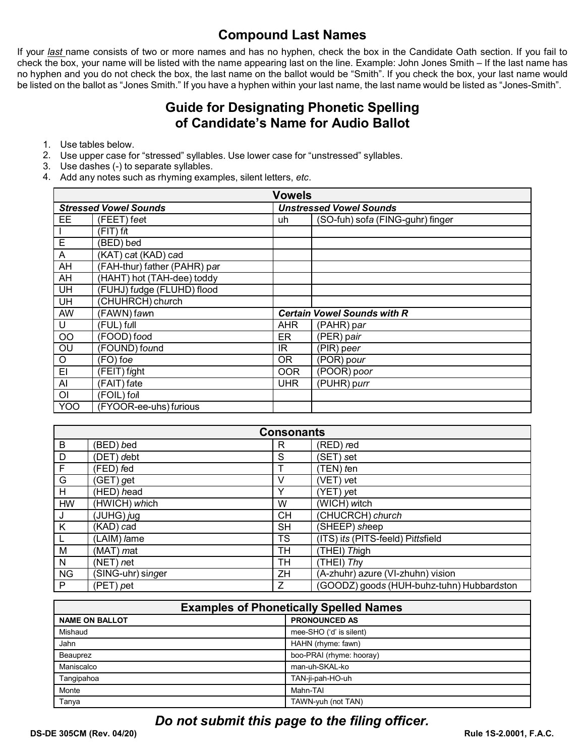### **Compound Last Names**

If your last name consists of two or more names and has no hyphen, check the box in the Candidate Oath section. If you fail to check the box, your name will be listed with the name appearing last on the line. Example: John Jones Smith - If the last name has no hyphen and you do not check the box, the last name on the ballot would be "Smith". If you check the box, your last name would be listed on the ballot as "Jones Smith." If you have a hyphen within your last name, the last name would be listed as "Jones-Smith".

#### **Guide for Designating Phonetic Spelling** of Candidate's Name for Audio Ballot

- 1. Use tables below.
- 2. Use upper case for "stressed" syllables. Use lower case for "unstressed" syllables.
- 3. Use dashes (-) to separate syllables.
- 4. Add any notes such as rhyming examples, silent letters, etc.

| <b>Vowels</b>                |                              |                                    |                                  |  |
|------------------------------|------------------------------|------------------------------------|----------------------------------|--|
| <b>Stressed Vowel Sounds</b> |                              |                                    | <b>Unstressed Vowel Sounds</b>   |  |
| EE.                          | (FEET) feet                  | uh                                 | (SO-fuh) sofa (FING-guhr) finger |  |
|                              | $(FIT)$ fit                  |                                    |                                  |  |
| Е                            | (BED) bed                    |                                    |                                  |  |
| A                            | (KAT) cat (KAD) cad          |                                    |                                  |  |
| AH                           | (FAH-thur) father (PAHR) par |                                    |                                  |  |
| AH                           | (HAHT) hot (TAH-dee) toddy   |                                    |                                  |  |
| UH                           | (FUHJ) fudge (FLUHD) flood   |                                    |                                  |  |
| UH                           | (CHUHRCH) church             |                                    |                                  |  |
| AW                           | (FAWN) fawn                  | <b>Certain Vowel Sounds with R</b> |                                  |  |
| U                            | (FUL) full                   | <b>AHR</b>                         | (PAHR) par                       |  |
| OO                           | (FOOD) food                  | ER                                 | (PER) pair                       |  |
| OU                           | (FOUND) found                | IR                                 | (PIR) peer                       |  |
| O                            | (FO) foe                     | 0R                                 | (POR) pour                       |  |
| EI                           | $(FEIT)$ fight               | <b>OOR</b>                         | $(POOR)$ poor                    |  |
| Al                           | (FAIT) fate                  | <b>UHR</b>                         | (PUHR) purr                      |  |
| O <sub>l</sub>               | (FOIL) foil                  |                                    |                                  |  |
| <b>YOO</b>                   | (FYOOR-ee-uhs) furious       |                                    |                                  |  |

| <b>Consonants</b> |                     |           |                                           |  |
|-------------------|---------------------|-----------|-------------------------------------------|--|
| B                 | (BED) bed           | R         | (RED) red                                 |  |
| D                 | (DET) debt          | S         | (SET) set                                 |  |
| F                 | (FED) <i>f</i> ed   |           | $(TEN)$ ten                               |  |
| G                 | (GET) <i>g</i> et   | v         | (VET) vet                                 |  |
| H                 | (HED) head          | Y         | (YET) yet                                 |  |
| <b>HW</b>         | (HWICH) which       | W         | (WICH) witch                              |  |
| J                 | (JUHG) jug          | СH        | (CHUCRCH) church                          |  |
| K                 | (KAD) cad           | <b>SH</b> | (SHEEP) sheep                             |  |
| $\mathsf{L}$      | (LAIM) <i>l</i> ame | <b>TS</b> | (ITS) its (PITS-feeld) Pittsfield         |  |
| M                 | (MAT) mat           | TН        | (THEI) Thigh                              |  |
| N                 | $(NET)$ net         | TH        | (THEI) Thy                                |  |
| <b>NG</b>         | SING-uhr) singer    | ΖH        | (A-zhuhr) azure (VI-zhuhn) vision         |  |
| P                 | (PET) <i>p</i> et   | Z         | (GOODZ) goods (HUH-buhz-tuhn) Hubbardston |  |

| <b>Examples of Phonetically Spelled Names</b> |                          |  |  |  |
|-----------------------------------------------|--------------------------|--|--|--|
| <b>NAME ON BALLOT</b>                         | <b>PRONOUNCED AS</b>     |  |  |  |
| Mishaud                                       | mee-SHO ('d' is silent)  |  |  |  |
| Jahn                                          | HAHN (rhyme: fawn)       |  |  |  |
| Beauprez                                      | boo-PRAI (rhyme: hooray) |  |  |  |
| Maniscalco                                    | man-uh-SKAL-ko           |  |  |  |
| Tangipahoa                                    | TAN-ji-pah-HO-uh         |  |  |  |
| Monte                                         | Mahn-TAI                 |  |  |  |
| Tanya                                         | TAWN-yuh (not TAN)       |  |  |  |

### Do not submit this page to the filing officer.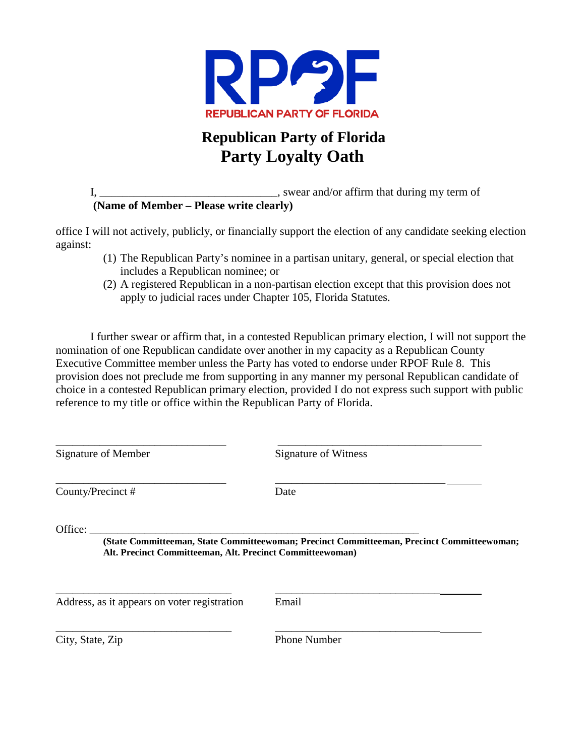

## **Republican Party of Florida Party Loyalty Oath**

I,  $\frac{1}{2}$  is wear and/or affirm that during my term of **(Name of Member – Please write clearly)** 

office I will not actively, publicly, or financially support the election of any candidate seeking election against:

- (1) The Republican Party's nominee in a partisan unitary, general, or special election that includes a Republican nominee; or
- (2) A registered Republican in a non-partisan election except that this provision does not apply to judicial races under Chapter 105, Florida Statutes.

I further swear or affirm that, in a contested Republican primary election, I will not support the nomination of one Republican candidate over another in my capacity as a Republican County Executive Committee member unless the Party has voted to endorse under RPOF Rule 8. This provision does not preclude me from supporting in any manner my personal Republican candidate of choice in a contested Republican primary election, provided I do not express such support with public reference to my title or office within the Republican Party of Florida.

| <b>Signature of Member</b>                                           | Signature of Witness                                                                       |  |
|----------------------------------------------------------------------|--------------------------------------------------------------------------------------------|--|
| County/Precinct#                                                     | Date                                                                                       |  |
| Office:<br>Alt. Precinct Committeeman, Alt. Precinct Committeewoman) | (State Committeeman, State Committeewoman; Precinct Committeeman, Precinct Committeewoman; |  |
| Address, as it appears on voter registration                         | Email                                                                                      |  |

City, State, Zip Phone Number